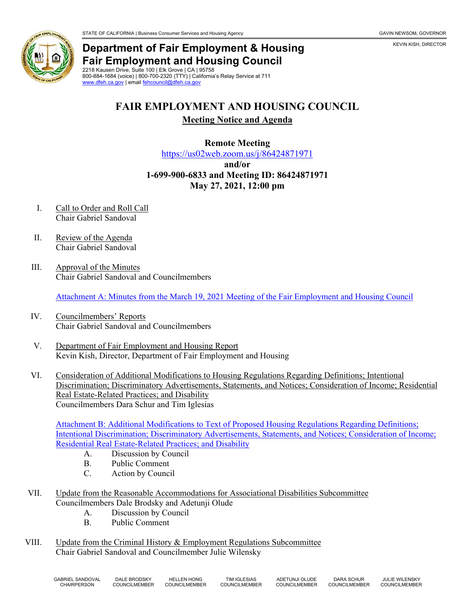

KEVIN KISH, DIRECTOR



## **Department of Fair Employment & Housing Fair Employment and Housing Council** 2218 Kausen Drive, Suite 100 | Elk Grove | CA | 95758

800-884-1684 (voice) | 800-700-2320 (TTY) | California's Relay Service at 711 [www.dfeh.ca.gov](https://www.dfeh.ca.gov/) | emai[l fehcouncil@dfeh.ca.gov](mailto:fehcouncil@dfeh.ca.gov)

## **FAIR EMPLOYMENT AND HOUSING COUNCIL**

**Meeting Notice and Agenda**

**Remote Meeting**

<https://us02web.zoom.us/j/86424871971>

**and/or**

**1-699-900-6833 and Meeting ID: 86424871971 May 27, 2021, 12:00 pm**

- I. Call to Order and Roll Call Chair Gabriel Sandoval
- II. Review of the Agenda Chair Gabriel Sandoval
- III. Approval of the Minutes Chair Gabriel Sandoval and Councilmembers

[Attachment A: Minutes from the March 19, 2021 Meeting of the Fair Employment and Housing Council](https://www.dfeh.ca.gov/wp-content/uploads/sites/32/2021/05/Attachment-A-FEH-Council-Minutes-March-19-2021.pdf)

- IV. Councilmembers' Reports Chair Gabriel Sandoval and Councilmembers
- V. Department of Fair Employment and Housing Report Kevin Kish, Director, Department of Fair Employment and Housing
- VI. Consideration of Additional Modifications to Housing Regulations Regarding Definitions; Intentional Discrimination; Discriminatory Advertisements, Statements, and Notices; Consideration of Income; Residential Real Estate-Related Practices; and Disability Councilmembers Dara Schur and Tim Iglesias

Attachment B: Additional Modifications to [Text of Proposed Housing Regulations Regarding Definitions;](https://www.dfeh.ca.gov/wp-content/uploads/sites/32/2021/05/Attachment-B-Additional-Modifications-to-Text-of-Proposed-Housing-Regulations.pdf)  [Intentional Discrimination; Discriminatory Advertisements, Statements, and Notices; Consideration of Income;](https://www.dfeh.ca.gov/wp-content/uploads/sites/32/2021/05/Attachment-B-Additional-Modifications-to-Text-of-Proposed-Housing-Regulations.pdf)  [Residential Real Estate-Related Practices; and Disability](https://www.dfeh.ca.gov/wp-content/uploads/sites/32/2021/05/Attachment-B-Additional-Modifications-to-Text-of-Proposed-Housing-Regulations.pdf)

- A. Discussion by Council
- B. Public Comment
- C. Action by Council
- VII. Update from the Reasonable Accommodations for Associational Disabilities Subcommittee Councilmembers Dale Brodsky and Adetunji Olude
	- A. Discussion by Council
	- B. Public Comment
- VIII. Update from the Criminal History & Employment Regulations Subcommittee Chair Gabriel Sandoval and Councilmember Julie Wilensky